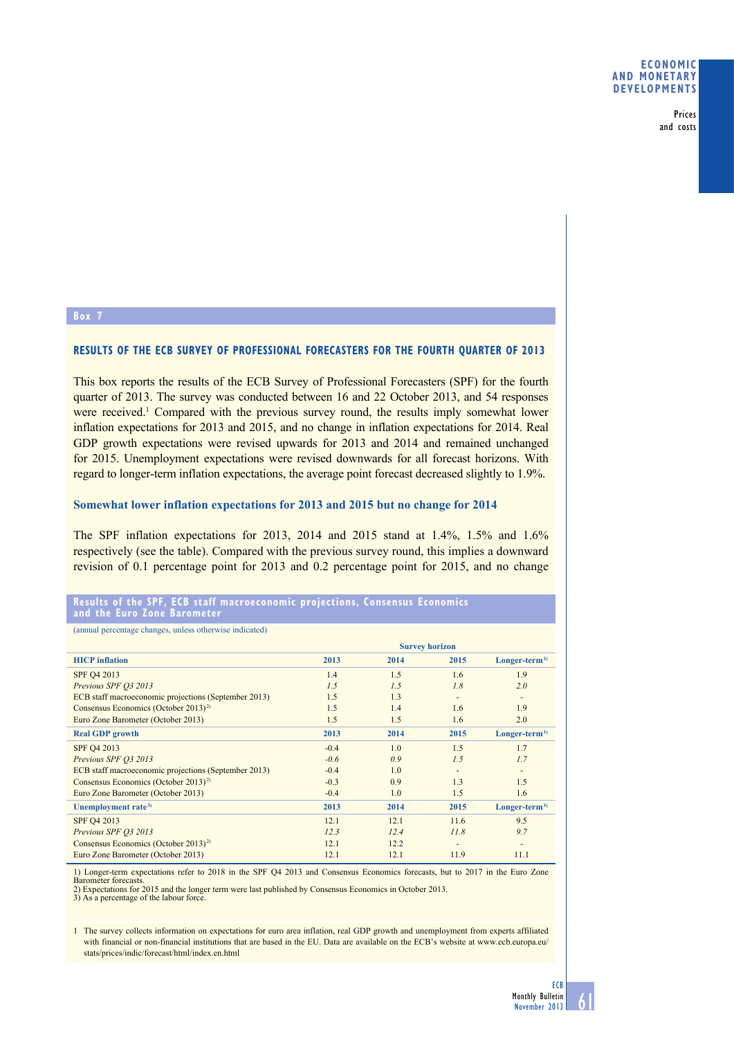Prices and costs

## **Box 7**

### **RESULTS OF THE ECB SURVEY OF PROFESSIONAL FORECASTERS FOR THE FOURTH QUARTER OF 2013**

This box reports the results of the ECB Survey of Professional Forecasters (SPF) for the fourth quarter of 2013. The survey was conducted between 16 and 22 October 2013, and 54 responses were received.<sup>1</sup> Compared with the previous survey round, the results imply somewhat lower inflation expectations for 2013 and 2015, and no change in inflation expectations for 2014. Real GDP growth expectations were revised upwards for 2013 and 2014 and remained unchanged for 2015. Unemployment expectations were revised downwards for all forecast horizons. With regard to longer-term inflation expectations, the average point forecast decreased slightly to 1.9%.

#### **Somewhat lower inflation expectations for 2013 and 2015 but no change for 2014**

The SPF inflation expectations for 2013, 2014 and 2015 stand at 1.4%, 1.5% and 1.6% respectively (see the table). Compared with the previous survey round, this implies a downward revision of 0.1 percentage point for 2013 and 0.2 percentage point for 2015, and no change

#### **results of the spf, ecB staff macroeconomic projections, consensus economics and the euro Zone Barometer**

(annual percentage changes, unless otherwise indicated)

|                                                      | <b>Survey horizon</b> |      |      |                          |
|------------------------------------------------------|-----------------------|------|------|--------------------------|
| <b>HICP</b> inflation                                | 2013                  | 2014 | 2015 | $Longer-term1$           |
| SPF Q4 2013                                          | 1.4                   | 1.5  | 1.6  | 1.9                      |
| Previous SPF 03 2013                                 | 1.5                   | 1.5  | 1.8  | 2.0                      |
| ECB staff macroeconomic projections (September 2013) | 1.5                   | 1.3  | ٠    | $\overline{\phantom{a}}$ |
| Consensus Economics (October 2013) <sup>2)</sup>     | 1.5                   | 1.4  | 1.6  | 1.9                      |
| Euro Zone Barometer (October 2013)                   | 1.5                   | 1.5  | 1.6  | 2.0                      |
| <b>Real GDP</b> growth                               | 2013                  | 2014 | 2015 | $Longer-term1$           |
| SPF Q4 2013                                          | $-0.4$                | 1.0  | 1.5  | 1.7                      |
| Previous SPF 03 2013                                 | $-0.6$                | 0.9  | 1.5  | 1.7                      |
| ECB staff macroeconomic projections (September 2013) | $-0.4$                | 1.0  | ٠    |                          |
| Consensus Economics (October 2013) <sup>2)</sup>     | $-0.3$                | 0.9  | 1.3  | 1.5                      |
| Euro Zone Barometer (October 2013)                   | $-0.4$                | 1.0  | 1.5  | 1.6                      |
| Unemployment rate <sup>3)</sup>                      | 2013                  | 2014 | 2015 | $Longer-term1$           |
| SPF Q4 2013                                          | 12.1                  | 12.1 | 11.6 | 9.5                      |
| Previous SPF 03 2013                                 | 12.3                  | 12.4 | 11.8 | 9.7                      |
| Consensus Economics (October 2013) <sup>2)</sup>     | 12.1                  | 12.2 | -    | $\overline{\phantom{a}}$ |
| Euro Zone Barometer (October 2013)                   | 12.1                  | 12.1 | 11.9 | 11.1                     |

1) Longer-term expectations refer to 2018 in the SPF Q4 2013 and Consensus Economics forecasts, but to 2017 in the Euro Zone Barometer forecasts. 2) Expectations for 2015 and the longer term were last published by Consensus Economics in October 2013.

3) As a percentage of the labour force.

1 The survey collects information on expectations for euro area inflation, real GDP growth and unemployment from experts affiliated with financial or non-financial institutions that are based in the EU. Data are available on the ECB's website at www.ecb.europa.eu/ stats/prices/indic/forecast/html/index.en.html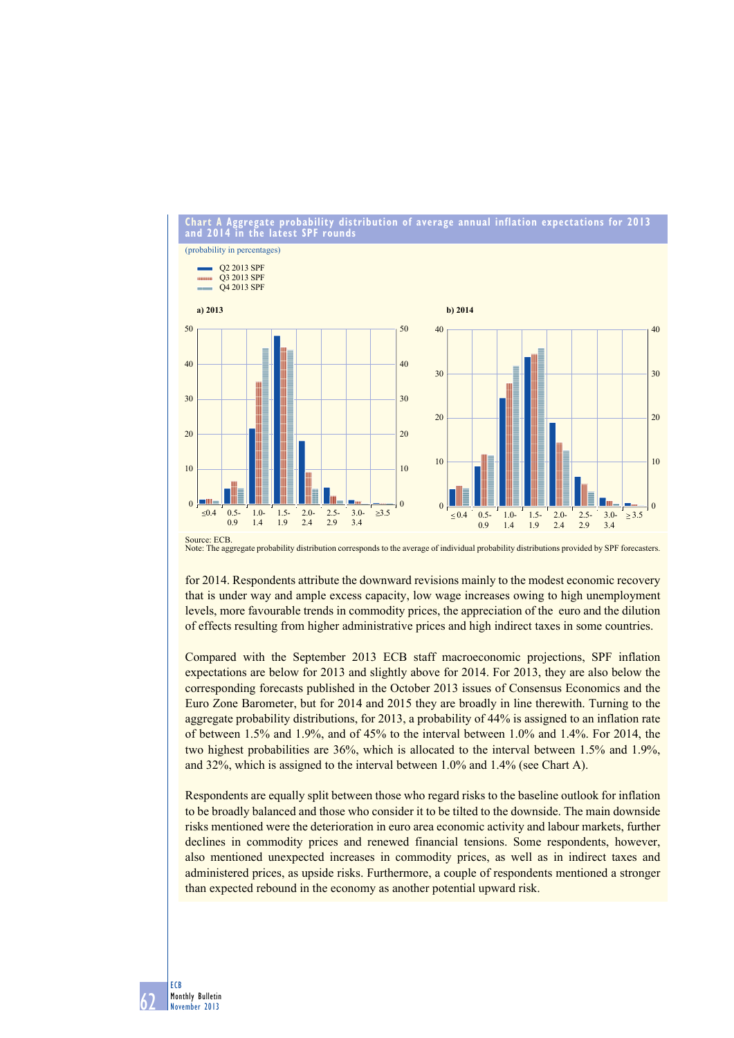**Chart a aggregate probability distribution of average annual inflation expectations for 2013 and 2014 in the latest sPF rounds**



Note: The aggregate probability distribution corresponds to the average of individual probability distributions provided by SPF forecasters.

for 2014. Respondents attribute the downward revisions mainly to the modest economic recovery that is under way and ample excess capacity, low wage increases owing to high unemployment levels, more favourable trends in commodity prices, the appreciation of the euro and the dilution of effects resulting from higher administrative prices and high indirect taxes in some countries.

Compared with the September 2013 ECB staff macroeconomic projections, SPF inflation expectations are below for 2013 and slightly above for 2014. For 2013, they are also below the corresponding forecasts published in the October 2013 issues of Consensus Economics and the Euro Zone Barometer, but for 2014 and 2015 they are broadly in line therewith. Turning to the aggregate probability distributions, for 2013, a probability of 44% is assigned to an inflation rate of between  $1.5\%$  and  $1.9\%$ , and of 45% to the interval between  $1.0\%$  and  $1.4\%$ . For 2014, the two highest probabilities are  $36\%$ , which is allocated to the interval between 1.5% and 1.9%, and  $32\%$ , which is assigned to the interval between 1.0% and 1.4% (see Chart A).

Respondents are equally split between those who regard risks to the baseline outlook for inflation to be broadly balanced and those who consider it to be tilted to the downside. The main downside risks mentioned were the deterioration in euro area economic activity and labour markets, further declines in commodity prices and renewed financial tensions. Some respondents, however, also mentioned unexpected increases in commodity prices, as well as in indirect taxes and administered prices, as upside risks. Furthermore, a couple of respondents mentioned a stronger than expected rebound in the economy as another potential upward risk.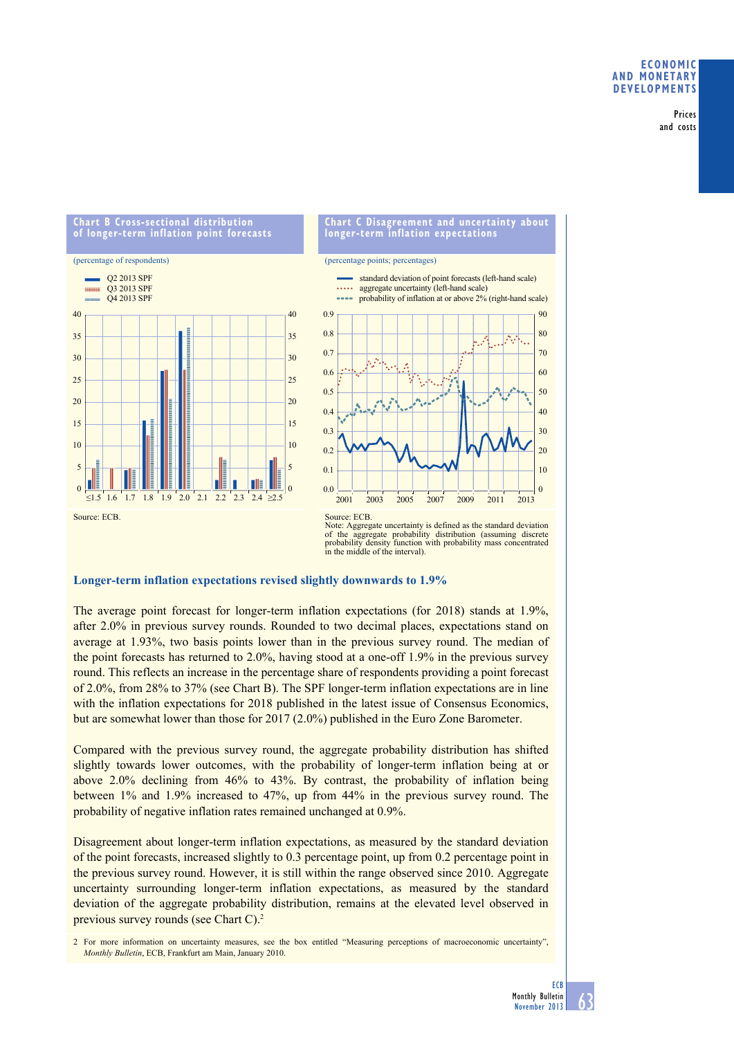## **eConomiC and monetary develoPments**

Prices and costs

#### **Chart b Cross-sectional distribution of longer-term inflation point forecasts**



### **Chart C disagreement and uncertainty about longer-term inflation expectations**

(percentage points; percentages)



Note: Aggregate uncertainty is defined as the standard deviation of the aggregate probability distribution (assuming discrete probability density function with probability mass concentrated in the middle of the interval).

### **Longer-term inflation expectations revised slightly downwards to 1.9%**

The average point forecast for longer-term inflation expectations (for  $2018$ ) stands at  $1.9\%$ , after  $2.0\%$  in previous survey rounds. Rounded to two decimal places, expectations stand on average at 1.93%, two basis points lower than in the previous survey round. The median of the point forecasts has returned to 2.0%, having stood at a one-off 1.9% in the previous survey round. This reflects an increase in the percentage share of respondents providing a point forecast of  $2.0\%$ , from  $28\%$  to  $37\%$  (see Chart B). The SPF longer-term inflation expectations are in line with the inflation expectations for 2018 published in the latest issue of Consensus Economics, but are somewhat lower than those for  $2017(2.0%)$  published in the Euro Zone Barometer.

Compared with the previous survey round, the aggregate probability distribution has shifted slightly towards lower outcomes, with the probability of longer-term inflation being at or above 2.0% declining from 46% to 43%. By contrast, the probability of inflation being between  $1\%$  and  $1.9\%$  increased to  $47\%$ , up from  $44\%$  in the previous survey round. The probability of negative inflation rates remained unchanged at 0.9%.

Disagreement about longer-term inflation expectations, as measured by the standard deviation of the point forecasts, increased slightly to  $0.3$  percentage point, up from  $0.2$  percentage point in the previous survey round. However, it is still within the range observed since 2010. Aggregate uncertainty surrounding longer-term inflation expectations, as measured by the standard deviation of the aggregate probability distribution, remains at the elevated level observed in previous survey rounds (see Chart C).2

2 For more information on uncertainty measures, see the box entitled "Measuring perceptions of macroeconomic uncertainty". *Monthly Bulletin*, ECB, Frankfurt am Main, January 2010.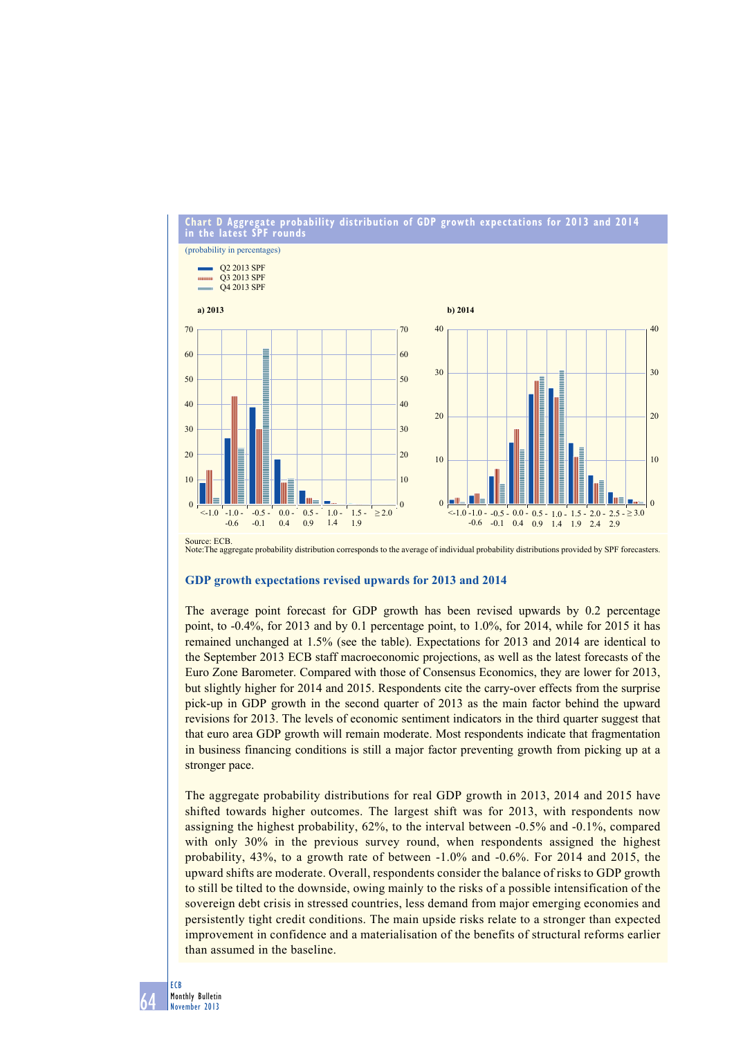

**Chart d aggregate probability distribution of gdP growth expectations for 2013 and 2014**

Source: ECB. Note:The aggregate probability distribution corresponds to the average of individual probability distributions provided by SPF forecasters.

### **GDP growth expectations revised upwards for 2013 and 2014**

The average point forecast for GDP growth has been revised upwards by 0.2 percentage point, to  $-0.4\%$ , for 2013 and by 0.1 percentage point, to 1.0%, for 2014, while for 2015 it has remained unchanged at 1.5% (see the table). Expectations for 2013 and 2014 are identical to the September 2013 ECB staff macroeconomic projections, as well as the latest forecasts of the Euro Zone Barometer. Compared with those of Consensus Economics, they are lower for 2013, but slightly higher for 2014 and 2015. Respondents cite the carry-over effects from the surprise pick-up in GDP growth in the second quarter of 2013 as the main factor behind the upward revisions for 2013. The levels of economic sentiment indicators in the third quarter suggest that that euro area GDP growth will remain moderate. Most respondents indicate that fragmentation in business financing conditions is still a major factor preventing growth from picking up at a stronger pace.

The aggregate probability distributions for real GDP growth in 2013, 2014 and 2015 have shifted towards higher outcomes. The largest shift was for 2013, with respondents now assigning the highest probability,  $62\%$ , to the interval between  $-0.5\%$  and  $-0.1\%$ , compared with only 30% in the previous survey round, when respondents assigned the highest probability,  $43\%$ , to a growth rate of between  $-1.0\%$  and  $-0.6\%$ . For 2014 and 2015, the upward shifts are moderate. Overall, respondents consider the balance of risks to GDP growth to still be tilted to the downside, owing mainly to the risks of a possible intensification of the sovereign debt crisis in stressed countries, less demand from major emerging economies and persistently tight credit conditions. The main upside risks relate to a stronger than expected improvement in confidence and a materialisation of the benefits of structural reforms earlier than assumed in the baseline.